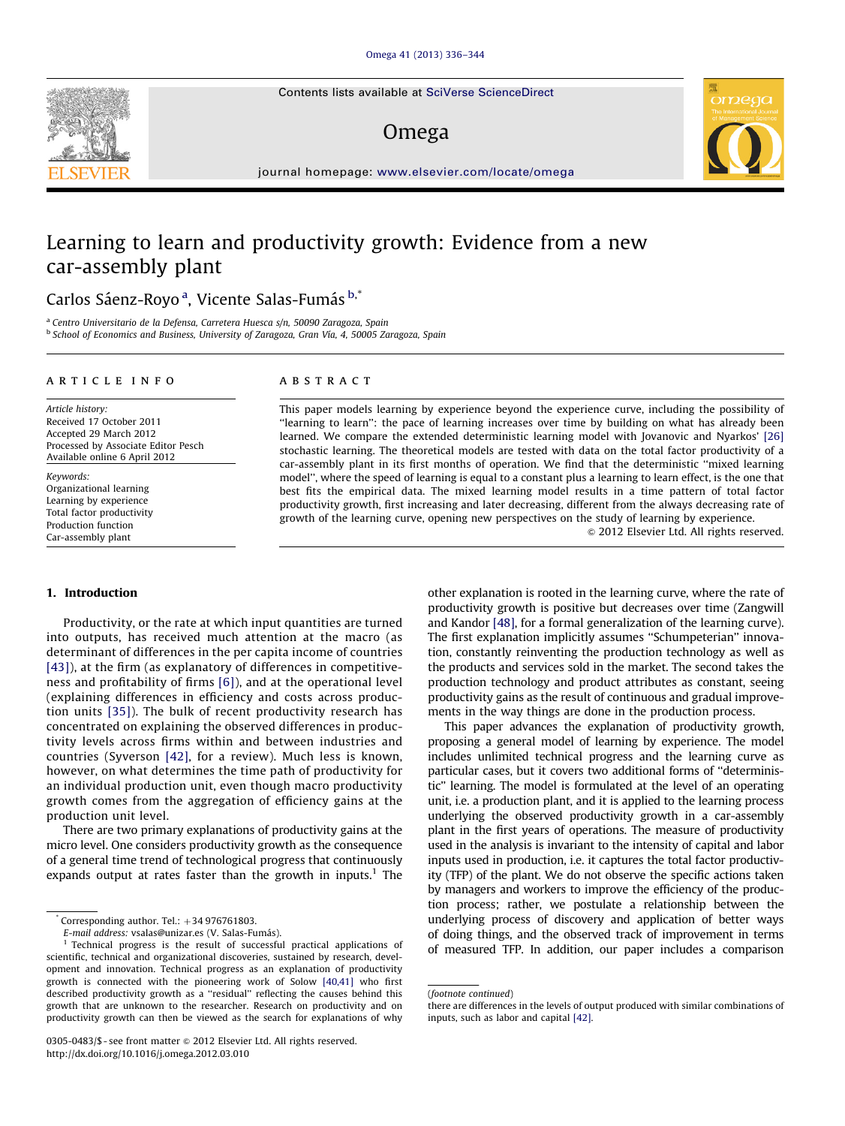Contents lists available at [SciVerse ScienceDirect](www.elsevier.com/locate/omega)

## Omega



journal homepage: <www.elsevier.com/locate/omega>

# Learning to learn and productivity growth: Evidence from a new car-assembly plant

## Carlos Sáenz-Royo <sup>a</sup>, Vicente Salas-Fumás <sup>b,\*</sup>

<sup>a</sup> Centro Universitario de la Defensa, Carretera Huesca s/n, 50090 Zaragoza, Spain b School of Economics and Business, University of Zaragoza, Gran Vía, 4, 50005 Zaragoza, Spain

### article info

Article history: Received 17 October 2011 Accepted 29 March 2012 Processed by Associate Editor Pesch Available online 6 April 2012

Keywords: Organizational learning Learning by experience Total factor productivity Production function Car-assembly plant

#### 1. Introduction

Productivity, or the rate at which input quantities are turned into outputs, has received much attention at the macro (as determinant of differences in the per capita income of countries [\[43\]](#page--1-0)), at the firm (as explanatory of differences in competitiveness and profitability of firms [\[6\]](#page--1-0)), and at the operational level (explaining differences in efficiency and costs across production units [\[35\]](#page--1-0)). The bulk of recent productivity research has concentrated on explaining the observed differences in productivity levels across firms within and between industries and countries (Syverson [\[42\]](#page--1-0), for a review). Much less is known, however, on what determines the time path of productivity for an individual production unit, even though macro productivity growth comes from the aggregation of efficiency gains at the production unit level.

There are two primary explanations of productivity gains at the micro level. One considers productivity growth as the consequence of a general time trend of technological progress that continuously expands output at rates faster than the growth in inputs.<sup>1</sup> The

Corresponding author. Tel.:  $+34$  976761803.

E-mail address: vsalas@unizar.es (V. Salas-Fumás).

### ABSTRACT

This paper models learning by experience beyond the experience curve, including the possibility of ''learning to learn'': the pace of learning increases over time by building on what has already been learned. We compare the extended deterministic learning model with Jovanovic and Nyarkos' [\[26\]](#page--1-0) stochastic learning. The theoretical models are tested with data on the total factor productivity of a car-assembly plant in its first months of operation. We find that the deterministic ''mixed learning model'', where the speed of learning is equal to a constant plus a learning to learn effect, is the one that best fits the empirical data. The mixed learning model results in a time pattern of total factor productivity growth, first increasing and later decreasing, different from the always decreasing rate of growth of the learning curve, opening new perspectives on the study of learning by experience.

 $\odot$  2012 Elsevier Ltd. All rights reserved.

other explanation is rooted in the learning curve, where the rate of productivity growth is positive but decreases over time (Zangwill and Kandor [\[48\],](#page--1-0) for a formal generalization of the learning curve). The first explanation implicitly assumes ''Schumpeterian'' innovation, constantly reinventing the production technology as well as the products and services sold in the market. The second takes the production technology and product attributes as constant, seeing productivity gains as the result of continuous and gradual improvements in the way things are done in the production process.

This paper advances the explanation of productivity growth, proposing a general model of learning by experience. The model includes unlimited technical progress and the learning curve as particular cases, but it covers two additional forms of ''deterministic'' learning. The model is formulated at the level of an operating unit, i.e. a production plant, and it is applied to the learning process underlying the observed productivity growth in a car-assembly plant in the first years of operations. The measure of productivity used in the analysis is invariant to the intensity of capital and labor inputs used in production, i.e. it captures the total factor productivity (TFP) of the plant. We do not observe the specific actions taken by managers and workers to improve the efficiency of the production process; rather, we postulate a relationship between the underlying process of discovery and application of better ways of doing things, and the observed track of improvement in terms of measured TFP. In addition, our paper includes a comparison



<sup>1</sup> Technical progress is the result of successful practical applications of scientific, technical and organizational discoveries, sustained by research, development and innovation. Technical progress as an explanation of productivity growth is connected with the pioneering work of Solow [\[40,41\]](#page--1-0) who first described productivity growth as a ''residual'' reflecting the causes behind this growth that are unknown to the researcher. Research on productivity and on productivity growth can then be viewed as the search for explanations of why

<sup>0305-0483/\$ -</sup> see front matter @ 2012 Elsevier Ltd. All rights reserved. [http://dx.doi.org/10.1016/j.omega.2012.03.010](dx.doi.org/10.1016/j.omega.2012.03.010)

<sup>(</sup>footnote continued)

there are differences in the levels of output produced with similar combinations of inputs, such as labor and capital [\[42\].](#page--1-0)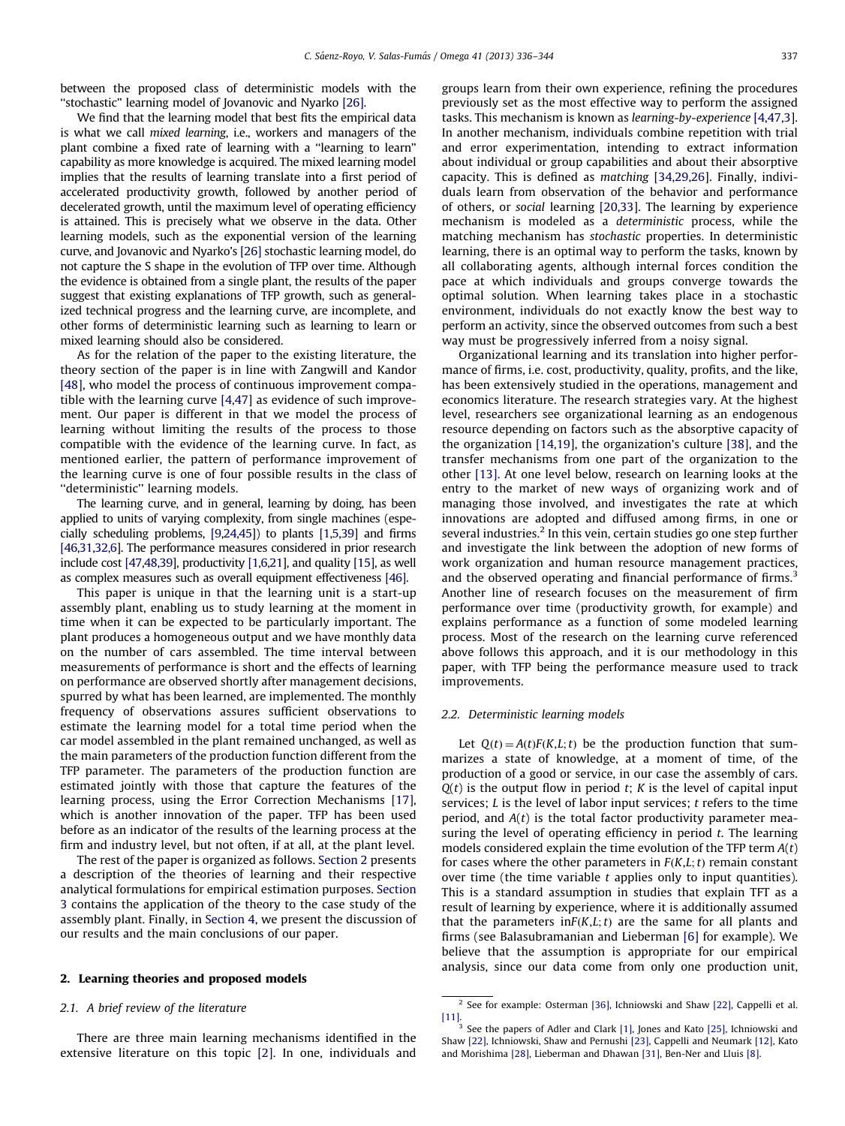between the proposed class of deterministic models with the ''stochastic'' learning model of Jovanovic and Nyarko [\[26\]](#page--1-0).

We find that the learning model that best fits the empirical data is what we call mixed learning, i.e., workers and managers of the plant combine a fixed rate of learning with a ''learning to learn'' capability as more knowledge is acquired. The mixed learning model implies that the results of learning translate into a first period of accelerated productivity growth, followed by another period of decelerated growth, until the maximum level of operating efficiency is attained. This is precisely what we observe in the data. Other learning models, such as the exponential version of the learning curve, and Jovanovic and Nyarko's [\[26\]](#page--1-0) stochastic learning model, do not capture the S shape in the evolution of TFP over time. Although the evidence is obtained from a single plant, the results of the paper suggest that existing explanations of TFP growth, such as generalized technical progress and the learning curve, are incomplete, and other forms of deterministic learning such as learning to learn or mixed learning should also be considered.

As for the relation of the paper to the existing literature, the theory section of the paper is in line with Zangwill and Kandor [\[48\]](#page--1-0), who model the process of continuous improvement compatible with the learning curve [\[4,47](#page--1-0)] as evidence of such improvement. Our paper is different in that we model the process of learning without limiting the results of the process to those compatible with the evidence of the learning curve. In fact, as mentioned earlier, the pattern of performance improvement of the learning curve is one of four possible results in the class of ''deterministic'' learning models.

The learning curve, and in general, learning by doing, has been applied to units of varying complexity, from single machines (especially scheduling problems, [\[9](#page--1-0),[24,45\]](#page--1-0)) to plants [\[1,5,39\]](#page--1-0) and firms [\[46,31,32](#page--1-0),[6](#page--1-0)]. The performance measures considered in prior research include cost [\[47](#page--1-0),[48,39\]](#page--1-0), productivity [\[1,6,21](#page--1-0)], and quality [\[15\]](#page--1-0), as well as complex measures such as overall equipment effectiveness [\[46\]](#page--1-0).

This paper is unique in that the learning unit is a start-up assembly plant, enabling us to study learning at the moment in time when it can be expected to be particularly important. The plant produces a homogeneous output and we have monthly data on the number of cars assembled. The time interval between measurements of performance is short and the effects of learning on performance are observed shortly after management decisions, spurred by what has been learned, are implemented. The monthly frequency of observations assures sufficient observations to estimate the learning model for a total time period when the car model assembled in the plant remained unchanged, as well as the main parameters of the production function different from the TFP parameter. The parameters of the production function are estimated jointly with those that capture the features of the learning process, using the Error Correction Mechanisms [\[17\],](#page--1-0) which is another innovation of the paper. TFP has been used before as an indicator of the results of the learning process at the firm and industry level, but not often, if at all, at the plant level.

The rest of the paper is organized as follows. Section 2 presents a description of the theories of learning and their respective analytical formulations for empirical estimation purposes. [Section](#page--1-0) [3](#page--1-0) contains the application of the theory to the case study of the assembly plant. Finally, in [Section 4,](#page--1-0) we present the discussion of our results and the main conclusions of our paper.

#### 2. Learning theories and proposed models

#### 2.1. A brief review of the literature

There are three main learning mechanisms identified in the extensive literature on this topic [\[2\].](#page--1-0) In one, individuals and groups learn from their own experience, refining the procedures previously set as the most effective way to perform the assigned tasks. This mechanism is known as learning-by-experience [\[4,47,3\]](#page--1-0). In another mechanism, individuals combine repetition with trial and error experimentation, intending to extract information about individual or group capabilities and about their absorptive capacity. This is defined as matching [\[34,29,26](#page--1-0)]. Finally, individuals learn from observation of the behavior and performance of others, or social learning [\[20,33\]](#page--1-0). The learning by experience mechanism is modeled as a deterministic process, while the matching mechanism has stochastic properties. In deterministic learning, there is an optimal way to perform the tasks, known by all collaborating agents, although internal forces condition the pace at which individuals and groups converge towards the optimal solution. When learning takes place in a stochastic environment, individuals do not exactly know the best way to perform an activity, since the observed outcomes from such a best way must be progressively inferred from a noisy signal.

Organizational learning and its translation into higher performance of firms, i.e. cost, productivity, quality, profits, and the like, has been extensively studied in the operations, management and economics literature. The research strategies vary. At the highest level, researchers see organizational learning as an endogenous resource depending on factors such as the absorptive capacity of the organization [\[14,19](#page--1-0)], the organization's culture [\[38\]](#page--1-0), and the transfer mechanisms from one part of the organization to the other [\[13\].](#page--1-0) At one level below, research on learning looks at the entry to the market of new ways of organizing work and of managing those involved, and investigates the rate at which innovations are adopted and diffused among firms, in one or several industries.<sup>2</sup> In this vein, certain studies go one step further and investigate the link between the adoption of new forms of work organization and human resource management practices, and the observed operating and financial performance of firms.<sup>3</sup> Another line of research focuses on the measurement of firm performance over time (productivity growth, for example) and explains performance as a function of some modeled learning process. Most of the research on the learning curve referenced above follows this approach, and it is our methodology in this paper, with TFP being the performance measure used to track improvements.

#### 2.2. Deterministic learning models

Let  $Q(t) = A(t)F(K, L; t)$  be the production function that summarizes a state of knowledge, at a moment of time, of the production of a good or service, in our case the assembly of cars.  $Q(t)$  is the output flow in period t; K is the level of capital input services; L is the level of labor input services; t refers to the time period, and  $A(t)$  is the total factor productivity parameter measuring the level of operating efficiency in period  $t$ . The learning models considered explain the time evolution of the TFP term  $A(t)$ for cases where the other parameters in  $F(K,L;t)$  remain constant over time (the time variable  $t$  applies only to input quantities). This is a standard assumption in studies that explain TFT as a result of learning by experience, where it is additionally assumed that the parameters  $inF(K,L;t)$  are the same for all plants and firms (see Balasubramanian and Lieberman [\[6\]](#page--1-0) for example). We believe that the assumption is appropriate for our empirical analysis, since our data come from only one production unit,

 $2$  See for example: Osterman [\[36\],](#page--1-0) Ichniowski and Shaw [\[22\]](#page--1-0), Cappelli et al. [\[11\]](#page--1-0). <sup>3</sup> See the papers of Adler and Clark [\[1\],](#page--1-0) Jones and Kato [\[25\]](#page--1-0), Ichniowski and

Shaw [\[22\],](#page--1-0) Ichniowski, Shaw and Pernushi [\[23\],](#page--1-0) Cappelli and Neumark [\[12\],](#page--1-0) Kato and Morishima [\[28\]](#page--1-0), Lieberman and Dhawan [\[31\]](#page--1-0), Ben-Ner and Lluis [\[8\]](#page--1-0).